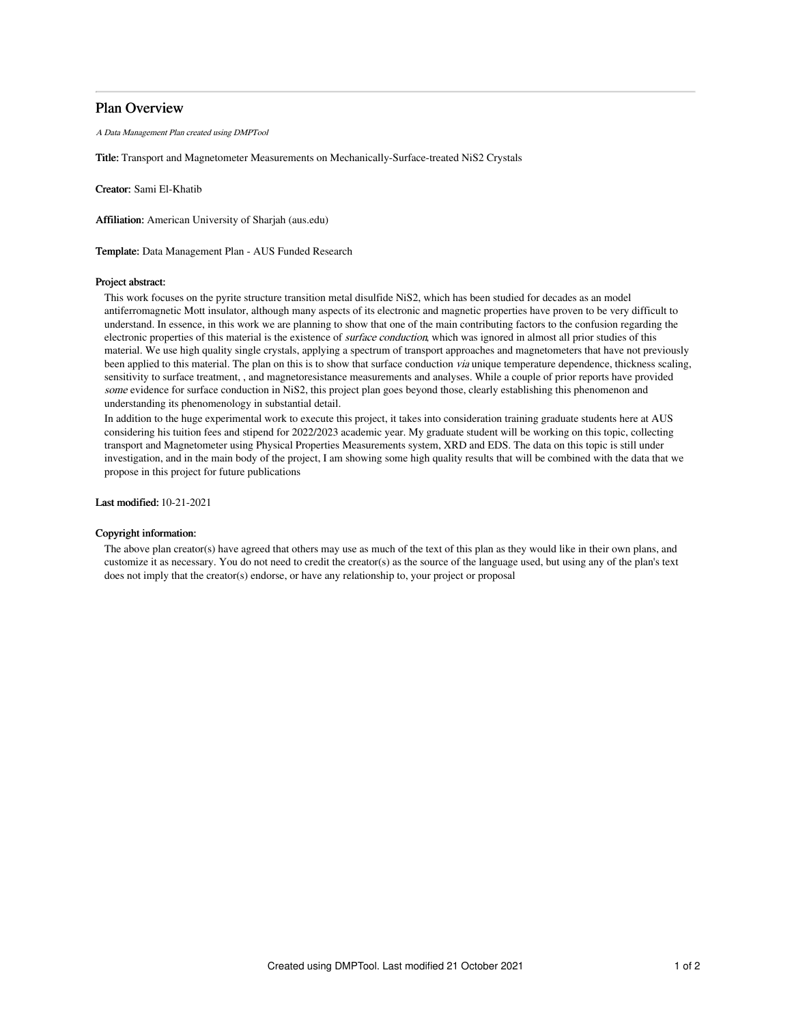# Plan Overview

A Data Management Plan created using DMPTool

Title: Transport and Magnetometer Measurements on Mechanically-Surface-treated NiS2 Crystals

Creator: Sami El-Khatib

Affiliation: American University of Sharjah (aus.edu)

Template: Data Management Plan - AUS Funded Research

### Project abstract:

This work focuses on the pyrite structure transition metal disulfide NiS2, which has been studied for decades as an model antiferromagnetic Mott insulator, although many aspects of its electronic and magnetic properties have proven to be very difficult to understand. In essence, in this work we are planning to show that one of the main contributing factors to the confusion regarding the electronic properties of this material is the existence of *surface conduction*, which was ignored in almost all prior studies of this material. We use high quality single crystals, applying a spectrum of transport approaches and magnetometers that have not previously been applied to this material. The plan on this is to show that surface conduction *via* unique temperature dependence, thickness scaling, sensitivity to surface treatment, , and magnetoresistance measurements and analyses. While a couple of prior reports have provided some evidence for surface conduction in NiS2, this project plan goes beyond those, clearly establishing this phenomenon and understanding its phenomenology in substantial detail.

In addition to the huge experimental work to execute this project, it takes into consideration training graduate students here at AUS considering his tuition fees and stipend for 2022/2023 academic year. My graduate student will be working on this topic, collecting transport and Magnetometer using Physical Properties Measurements system, XRD and EDS. The data on this topic is still under investigation, and in the main body of the project, I am showing some high quality results that will be combined with the data that we propose in this project for future publications

Last modified: 10-21-2021

## Copyright information:

The above plan creator(s) have agreed that others may use as much of the text of this plan as they would like in their own plans, and customize it as necessary. You do not need to credit the creator(s) as the source of the language used, but using any of the plan's text does not imply that the creator(s) endorse, or have any relationship to, your project or proposal